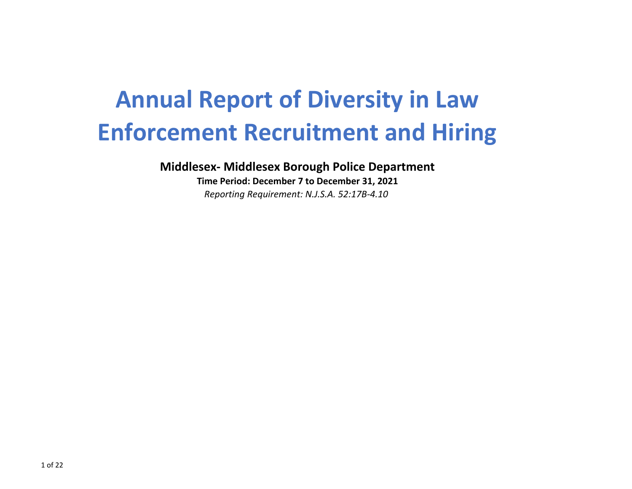# **Annual Report of Diversity in Law Enforcement Recruitment and Hiring**

**Middlesex- Middlesex Borough Police Department**

**Time Period: December 7 to December 31, 2021** *Reporting Requirement: N.J.S.A. 52:17B-4.10*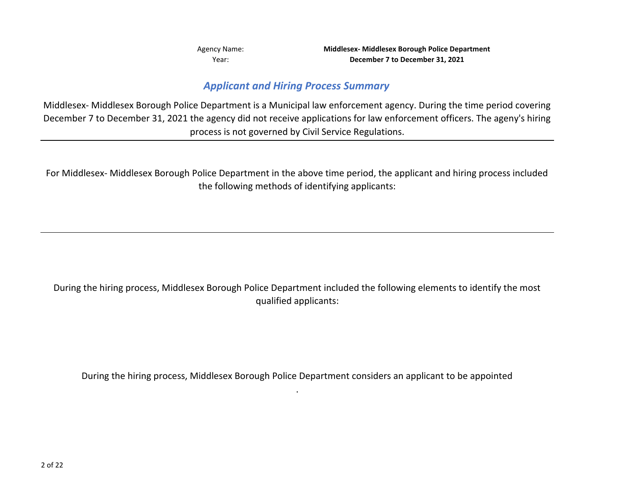Year:

Agency Name: **Middlesex- Middlesex Borough Police Department December 7 to December 31, 2021**

## *Applicant and Hiring Process Summary*

Middlesex- Middlesex Borough Police Department is a Municipal law enforcement agency. During the time period covering December 7 to December 31, 2021 the agency did not receive applications for law enforcement officers. The ageny's hiring process is not governed by Civil Service Regulations.

For Middlesex- Middlesex Borough Police Department in the above time period, the applicant and hiring process included the following methods of identifying applicants:

During the hiring process, Middlesex Borough Police Department included the following elements to identify the most qualified applicants:

During the hiring process, Middlesex Borough Police Department considers an applicant to be appointed .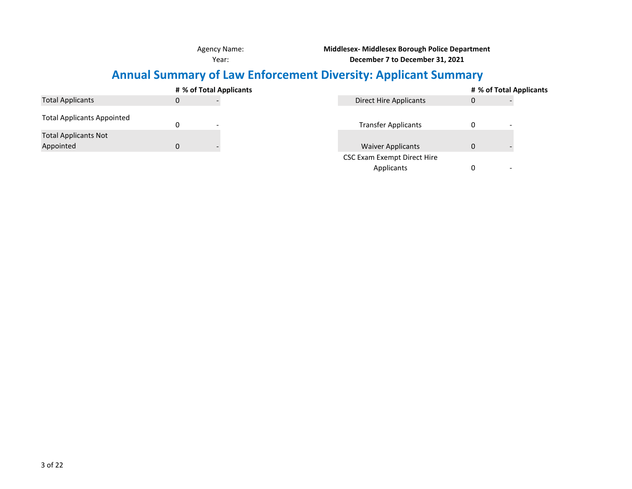Agency Name:

**Middlesex- Middlesex Borough Police Department**

Year:

**December 7 to December 31, 2021**

## **Annual Summary of Law Enforcement Diversity: Applicant Summary**

|                                   | # % of Total Applicants | # % of Total Applicants     |              |  |  |  |  |  |
|-----------------------------------|-------------------------|-----------------------------|--------------|--|--|--|--|--|
| <b>Total Applicants</b>           | 0                       | Direct Hire Applicants      | $\mathbf{0}$ |  |  |  |  |  |
| <b>Total Applicants Appointed</b> |                         | <b>Transfer Applicants</b>  | 0            |  |  |  |  |  |
| <b>Total Applicants Not</b>       |                         |                             |              |  |  |  |  |  |
| Appointed                         |                         | <b>Waiver Applicants</b>    | $\mathbf{0}$ |  |  |  |  |  |
|                                   |                         | CSC Exam Exempt Direct Hire |              |  |  |  |  |  |
|                                   |                         | Applicants                  | 0<br>-       |  |  |  |  |  |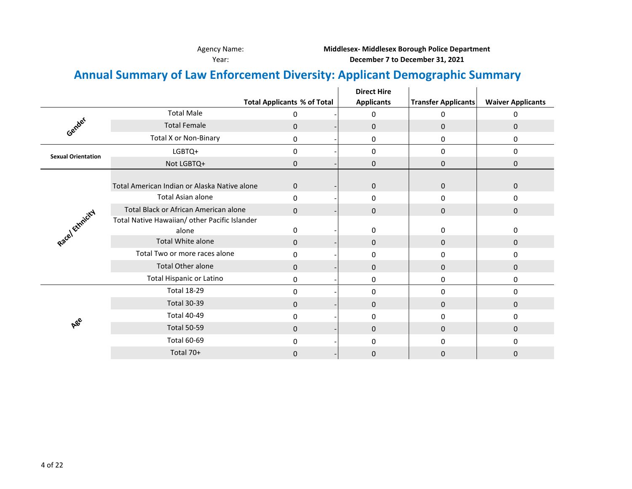Agency Name: **Middlesex- Middlesex Borough Police Department**

Year: **December 7 to December 31, 2021**

## **Annual Summary of Law Enforcement Diversity: Applicant Demographic Summary**

|                           |                                               |                                    | <b>Direct Hire</b> |                            |                          |
|---------------------------|-----------------------------------------------|------------------------------------|--------------------|----------------------------|--------------------------|
|                           |                                               | <b>Total Applicants % of Total</b> | <b>Applicants</b>  | <b>Transfer Applicants</b> | <b>Waiver Applicants</b> |
|                           | <b>Total Male</b>                             | 0                                  | $\mathbf 0$        | $\Omega$                   | 0                        |
| Gender                    | <b>Total Female</b>                           | $\mathbf{0}$                       | $\mathbf 0$        | $\mathbf 0$                | $\mathbf{0}$             |
|                           | <b>Total X or Non-Binary</b>                  | 0                                  | 0                  | 0                          | 0                        |
| <b>Sexual Orientation</b> | LGBTQ+                                        | 0                                  | $\mathbf 0$        | 0                          | $\mathbf{0}$             |
|                           | Not LGBTQ+                                    | 0                                  | $\boldsymbol{0}$   | $\pmb{0}$                  | 0                        |
|                           |                                               |                                    |                    |                            |                          |
|                           | Total American Indian or Alaska Native alone  | 0                                  | $\mathbf 0$        | $\pmb{0}$                  | $\mathbf 0$              |
|                           | <b>Total Asian alone</b>                      | 0                                  | 0                  | 0                          | $\mathbf{0}$             |
|                           | Total Black or African American alone         | $\mathbf{0}$                       | 0                  | 0                          | $\mathbf 0$              |
| Racel Emmicial            | Total Native Hawaiian/ other Pacific Islander |                                    |                    |                            |                          |
|                           | alone                                         | 0                                  | 0                  | 0                          | 0                        |
|                           | Total White alone                             | $\mathbf{0}$                       | $\mathbf{0}$       | $\mathbf{0}$               | 0                        |
|                           | Total Two or more races alone                 | $\Omega$                           | $\mathbf 0$        | 0                          | $\mathbf{0}$             |
|                           | <b>Total Other alone</b>                      | $\Omega$                           | $\mathbf 0$        | $\mathbf 0$                | $\mathbf{0}$             |
|                           | <b>Total Hispanic or Latino</b>               | 0                                  | 0                  | 0                          | 0                        |
|                           | <b>Total 18-29</b>                            | 0                                  | $\mathbf 0$        | 0                          | $\mathbf 0$              |
|                           | <b>Total 30-39</b>                            | $\mathbf{0}$                       | $\mathbf 0$        | $\mathbf 0$                | 0                        |
|                           | <b>Total 40-49</b>                            | 0                                  | 0                  | 0                          | 0                        |
| ABe                       | <b>Total 50-59</b>                            | $\mathbf{0}$                       | $\mathbf 0$        | $\mathbf{0}$               | $\mathbf{0}$             |
|                           | <b>Total 60-69</b>                            | 0                                  | $\mathbf 0$        | $\mathbf 0$                | 0                        |
|                           | Total 70+                                     | 0                                  | $\boldsymbol{0}$   | 0                          | 0                        |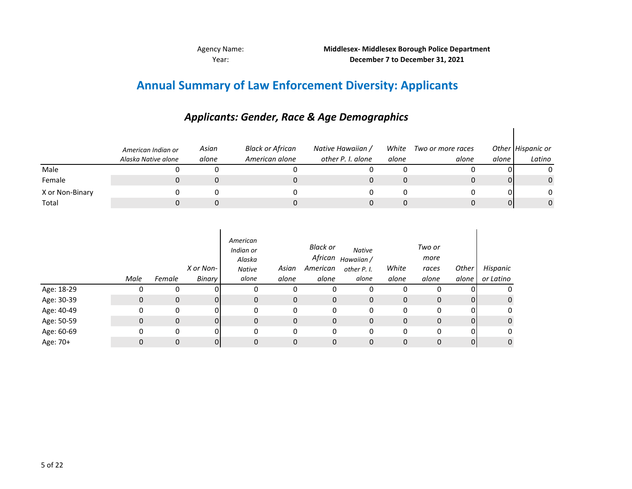Agency Name: Year:

## **Annual Summary of Law Enforcement Diversity: Applicants**

|                 | American Indian or<br>Alaska Native alone | Asian<br>alone | Black or African<br>American alone | Native Hawaiian /<br>other P. I. alone | White<br>alone | Two or more races<br>alone | alone | Other Hispanic or<br>Latino |
|-----------------|-------------------------------------------|----------------|------------------------------------|----------------------------------------|----------------|----------------------------|-------|-----------------------------|
| Male            |                                           |                |                                    |                                        |                |                            |       |                             |
| Female          |                                           |                |                                    |                                        |                |                            |       |                             |
| X or Non-Binary |                                           |                |                                    |                                        |                |                            |       |                             |
| Total           |                                           |                |                                    |                                        |                |                            |       |                             |

## *Applicants: Gender, Race & Age Demographics*

|            | Male | Female      | X or Non-<br>Binary | American<br>Indian or<br>Alaska<br><b>Native</b><br>alone | Asian<br>alone | <b>Black or</b><br>African<br>American<br>alone | <b>Native</b><br>Hawaiian /<br>other P. I.<br>alone | White<br>alone | Two or<br>more<br>races<br>alone | Other<br>alone | Hispanic<br>or Latino |
|------------|------|-------------|---------------------|-----------------------------------------------------------|----------------|-------------------------------------------------|-----------------------------------------------------|----------------|----------------------------------|----------------|-----------------------|
| Age: 18-29 | 0    | 0           | ΩI                  | 0                                                         | 0              | 0                                               | 0                                                   | 0              | 0                                |                | 0                     |
| Age: 30-39 | 0    | 0           | 01                  | 0                                                         | 0              | $\mathbf 0$                                     | $\mathbf 0$                                         | 0              | 0                                | 0              | $\mathbf 0$           |
| Age: 40-49 | 0    | 0           | 01                  | 0                                                         | 0              | 0                                               | 0                                                   | 0              | 0                                | 0              | 0                     |
| Age: 50-59 | 0    | $\mathbf 0$ | 01                  | 0                                                         | 0              | 0                                               | $\mathbf 0$                                         | $\mathbf 0$    | $\mathbf 0$                      | $\overline{0}$ | $\mathbf 0$           |
| Age: 60-69 | 0    | 0           | 0                   | 0                                                         | 0              | 0                                               | 0                                                   | 0              | 0                                | 0              | 0                     |
| Age: 70+   | 0    | 0           | 0                   | 0                                                         | 0              | 0                                               | $\mathbf 0$                                         | 0              | 0                                | $\overline{0}$ | 0                     |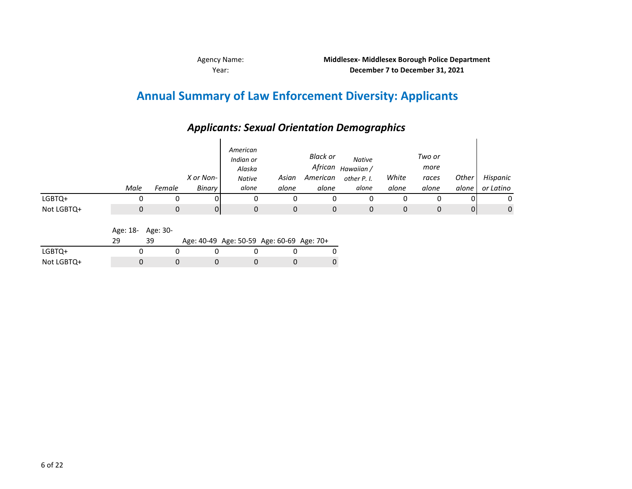## **Annual Summary of Law Enforcement Diversity: Applicants**

## *Applicants: Sexual Orientation Demographics*

|            | Male | Female | X or Non-<br>Binary | American<br>Indian or<br>Alaska<br><b>Native</b><br>alone | Asian<br>alone | <b>Black or</b><br>African<br>American<br>alone | <b>Native</b><br>Hawaiian /<br>other P. I.<br>alone | White<br>alone | Two or<br>more<br>races<br>alone | Other<br>alone | Hispanic<br>or Latino |
|------------|------|--------|---------------------|-----------------------------------------------------------|----------------|-------------------------------------------------|-----------------------------------------------------|----------------|----------------------------------|----------------|-----------------------|
| LGBTQ+     |      |        |                     | 0                                                         | 0              |                                                 |                                                     |                | 0                                |                | 0                     |
| Not LGBTQ+ |      | 0      | 0                   | 0                                                         | 0              | 0                                               | 0                                                   | 0              | 0                                | 01             | $\mathbf 0$           |

Age: 18- Age: 30-

|            |  |  | Age: 40-49 Age: 50-59 Age: 60-69 Age: 70+ |  |
|------------|--|--|-------------------------------------------|--|
| LGBTQ+     |  |  |                                           |  |
| Not LGBTQ+ |  |  |                                           |  |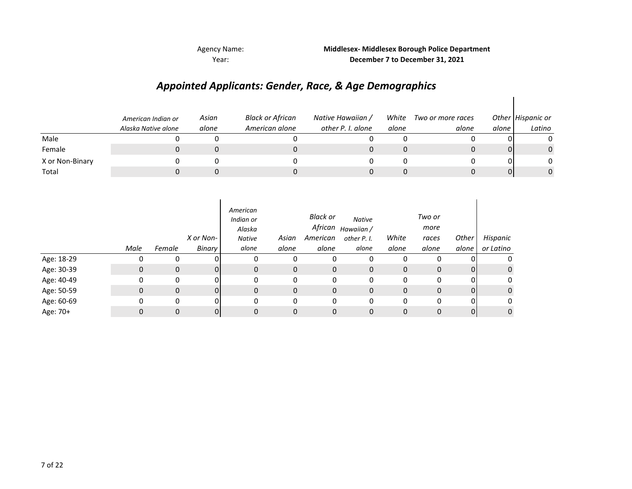Year:

## Agency Name: **Middlesex- Middlesex Borough Police Department December 7 to December 31, 2021**

## *Appointed Applicants: Gender, Race, & Age Demographics*

|                 | American Indian or<br>Alaska Native alone | Asian<br>alone | Black or African<br>American alone | Native Hawaiian /<br>other P. I. alone | White<br>alone | Two or more races<br>alone | alone | Other Hispanic or<br>Latino |
|-----------------|-------------------------------------------|----------------|------------------------------------|----------------------------------------|----------------|----------------------------|-------|-----------------------------|
| Male            |                                           |                |                                    |                                        |                |                            |       |                             |
| Female          |                                           |                |                                    |                                        |                |                            |       | $\mathbf{0}$                |
| X or Non-Binary |                                           |                |                                    |                                        |                |                            |       |                             |
| Total           |                                           |                |                                    |                                        |                |                            |       | 0                           |

|            | Male | Female       | X or Non-<br>Binary | American<br>Indian or<br>Alaska<br><b>Native</b><br>alone | Asian<br>alone | Black or<br>African<br>American<br>alone | <b>Native</b><br>Hawaiian /<br>other P. I.<br>alone | White<br>alone | Two or<br>more<br>races<br>alone | Other<br>alone | Hispanic<br>or Latino |
|------------|------|--------------|---------------------|-----------------------------------------------------------|----------------|------------------------------------------|-----------------------------------------------------|----------------|----------------------------------|----------------|-----------------------|
| Age: 18-29 |      | 0            |                     | 0                                                         | 0              |                                          | 0                                                   | 0              |                                  |                | 0                     |
| Age: 30-39 | 0    | $\mathbf{0}$ | 0                   | $\mathbf{0}$                                              | $\mathbf{0}$   | $\mathbf 0$                              | 0                                                   | $\mathbf 0$    | $\mathbf{0}$                     | 0              | 0                     |
| Age: 40-49 | 0    | 0            | 0                   | 0                                                         | 0              | 0                                        | 0                                                   | 0              | 0                                | 0              | 0                     |
| Age: 50-59 | 0    | $\mathbf{0}$ |                     | $\mathbf{0}$                                              | $\mathbf{0}$   | 0                                        | 0                                                   | 0              | $\mathbf 0$                      | 0              | $\mathbf 0$           |
| Age: 60-69 | 0    | 0            |                     | 0                                                         | 0              | 0                                        | 0                                                   | 0              | 0                                | 0              | 0                     |
| Age: 70+   | 0    | $\Omega$     |                     | 0                                                         | 0              | 0                                        | 0                                                   | 0              | $\Omega$                         | 0              | $\mathbf 0$           |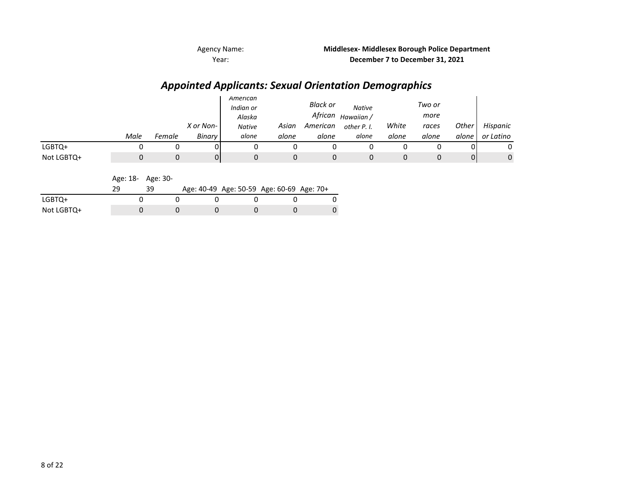*Appointed Applicants: Sexual Orientation Demographics*

|            |      |        |           | American<br>Indian or<br>Alaska |       | <b>Black or</b><br>African | <b>Native</b><br>Hawaiian / |       | Two or<br>more |       |           |
|------------|------|--------|-----------|---------------------------------|-------|----------------------------|-----------------------------|-------|----------------|-------|-----------|
|            |      |        | X or Non- | <b>Native</b>                   | Asian | American                   | other P. I.                 | White | races          | Other | Hispanic  |
|            | Male | Female | Binary    | alone                           | alone | alone                      | alone                       | alone | alone          | alone | or Latino |
| LGBTQ+     |      |        | .) l      |                                 |       |                            |                             |       |                |       |           |
| Not LGBTQ+ |      |        | 01        |                                 | 0     |                            | 0                           |       |                | 01    | 0         |

Age: 18- Age: 30-

|            |  |  | Age: 40-49 Age: 50-59 Age: 60-69 Age: 70+ |  |
|------------|--|--|-------------------------------------------|--|
| LGBTQ+     |  |  |                                           |  |
| Not LGBTQ+ |  |  |                                           |  |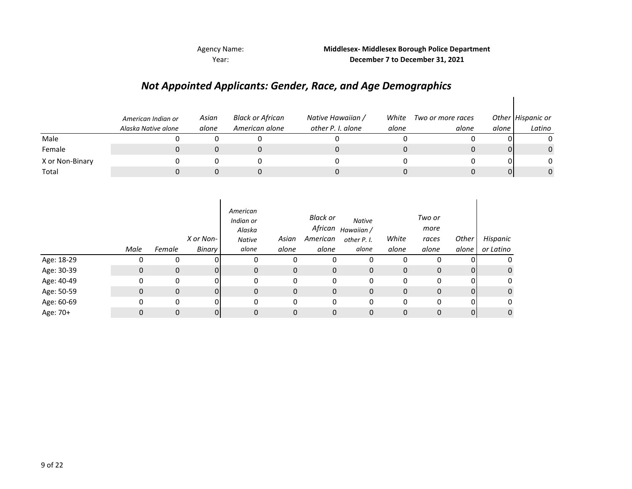Agency Name: Year:

## **Middlesex- Middlesex Borough Police Department December 7 to December 31, 2021**

 $\overline{\phantom{a}}$ 

## *Not Appointed Applicants: Gender, Race, and Age Demographics*

|                 | American Indian or<br>Alaska Native alone | Asian<br>alone | Black or African<br>American alone | Native Hawaiian /<br>other P. I. alone | White<br>alone | Two or more races<br>alone | alone | Other Hispanic or<br>Latino |
|-----------------|-------------------------------------------|----------------|------------------------------------|----------------------------------------|----------------|----------------------------|-------|-----------------------------|
| Male            |                                           |                |                                    |                                        |                |                            |       |                             |
| Female          |                                           |                |                                    |                                        |                |                            | 01    | $\Omega$                    |
| X or Non-Binary |                                           |                |                                    |                                        |                |                            |       |                             |
| Total           |                                           |                |                                    |                                        |                |                            | 01    | 0                           |

|            | Male | Female | X or Non-<br>Binary | American<br>Indian or<br>Alaska<br><b>Native</b><br>alone | Asian<br>alone | Black or<br>African<br>American<br>alone | <b>Native</b><br>Hawaiian /<br>other P. I.<br>alone | White<br>alone | Two or<br>more<br>races<br>alone | Other<br>alone | Hispanic<br>or Latino |
|------------|------|--------|---------------------|-----------------------------------------------------------|----------------|------------------------------------------|-----------------------------------------------------|----------------|----------------------------------|----------------|-----------------------|
| Age: 18-29 | υ    | 0      |                     |                                                           | 0              | 0                                        | 0                                                   | 0              |                                  |                | 0                     |
| Age: 30-39 | 0    | 0      | 01                  | 0                                                         | $\mathbf{0}$   | 0                                        | $\mathbf{0}$                                        | $\mathbf{0}$   | $\mathbf 0$                      | 01             | $\mathbf 0$           |
| Age: 40-49 | 0    | 0      | 01                  | 0                                                         | 0              | 0                                        | 0                                                   | 0              | 0                                | 0              | 0                     |
| Age: 50-59 | 0    | 0      | 0                   | 0                                                         | 0              | 0                                        | $\mathbf 0$                                         | 0              | 0                                | $\overline{0}$ | $\mathbf 0$           |
| Age: 60-69 | 0    | 0      | 0                   | 0                                                         | 0              | 0                                        | 0                                                   | 0              | 0                                | 01             | 0                     |
| Age: 70+   | 0    | 0      | 0                   | 0                                                         | 0              | 0                                        | $\mathbf 0$                                         | 0              | $\Omega$                         | $\overline{0}$ | 0                     |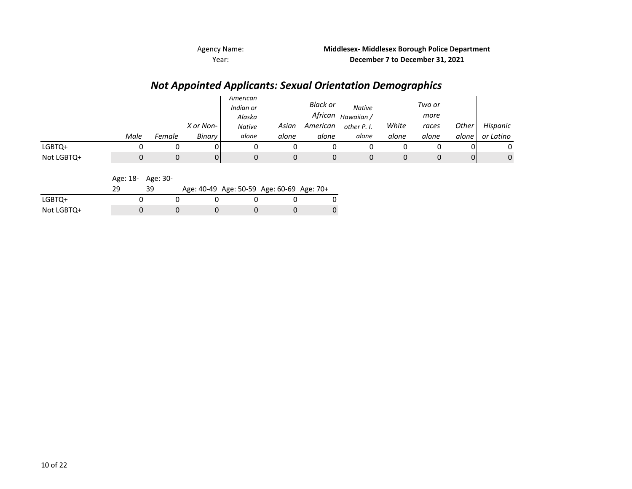## *Not Appointed Applicants: Sexual Orientation Demographics*

|            |      |        |           | American<br>Indian or<br>Alaska |       | <b>Black or</b><br>African | <b>Native</b><br>Hawaiian / |       | Two or<br>more |       |           |
|------------|------|--------|-----------|---------------------------------|-------|----------------------------|-----------------------------|-------|----------------|-------|-----------|
|            |      |        | X or Non- | <b>Native</b>                   | Asian | American                   | other P. I.                 | White | races          | Other | Hispanic  |
|            | Male | Female | Binary    | alone                           | alone | alone                      | alone                       | alone | alone          | alone | or Latino |
| LGBTQ+     |      |        |           |                                 |       |                            |                             |       |                |       | 0         |
| Not LGBTQ+ |      |        | 01        |                                 |       |                            | 0                           |       |                | 0     | 0         |

Age: 18- Age: 30-

|            |  | Age: 40-49 Age: 50-59 Age: 60-69 Age: 70+ |  |  |
|------------|--|-------------------------------------------|--|--|
| LGBTQ+     |  |                                           |  |  |
| Not LGBTQ+ |  |                                           |  |  |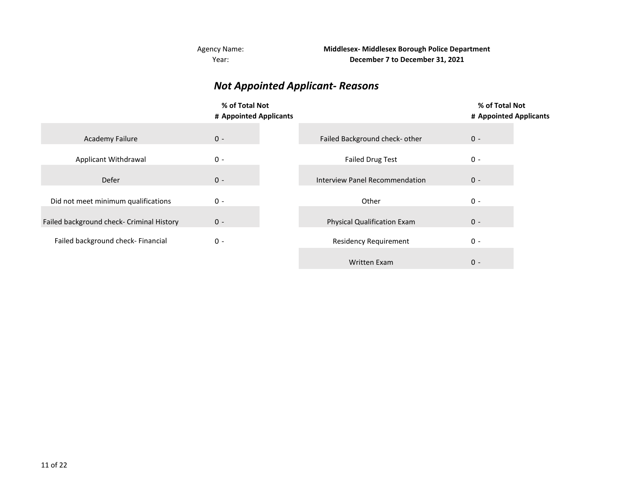Year: Agency Name: **Middlesex- Middlesex Borough Police Department December 7 to December 31, 2021**

## *Not Appointed Applicant- Reasons*

|                                           | % of Total Not<br># Appointed Applicants |                                       | % of Total Not<br># Appointed Applicants |
|-------------------------------------------|------------------------------------------|---------------------------------------|------------------------------------------|
|                                           |                                          |                                       |                                          |
| <b>Academy Failure</b>                    | $0 -$                                    | Failed Background check- other        | $0 -$                                    |
| <b>Applicant Withdrawal</b>               | $0 -$                                    | <b>Failed Drug Test</b>               | $0 -$                                    |
| Defer                                     | $0 -$                                    | <b>Interview Panel Recommendation</b> | $0 -$                                    |
|                                           |                                          |                                       | $0 -$                                    |
| Did not meet minimum qualifications       | $0 -$                                    | Other                                 |                                          |
| Failed background check- Criminal History | $0 -$                                    | <b>Physical Qualification Exam</b>    | $0 -$                                    |
| Failed background check- Financial        | $0 -$                                    | <b>Residency Requirement</b>          | $0 -$                                    |
|                                           |                                          | Written Exam                          | $0 -$                                    |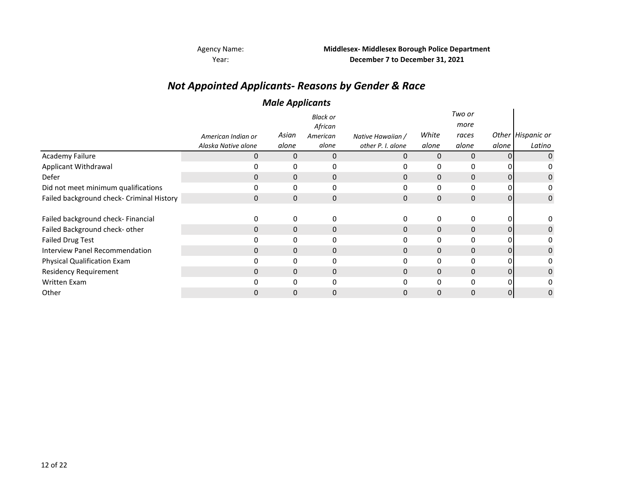## *Not Appointed Applicants- Reasons by Gender & Race*

## *Male Applicants*

|                                           |                     | .            |                     |                   |              |                |                |                   |
|-------------------------------------------|---------------------|--------------|---------------------|-------------------|--------------|----------------|----------------|-------------------|
|                                           |                     |              | Black or<br>African |                   |              | Two or<br>more |                |                   |
|                                           | American Indian or  | Asian        | American            | Native Hawaiian / | White        | races          |                | Other Hispanic or |
|                                           | Alaska Native alone | alone        | alone               | other P. I. alone | alone        | alone          | alone          | Latino            |
| <b>Academy Failure</b>                    | 0                   | 0            | 0                   | 0                 | $\mathbf{0}$ | $\Omega$       | $\overline{0}$ |                   |
| Applicant Withdrawal                      |                     | 0            | 0                   | 0                 | 0            | 0              |                |                   |
| Defer                                     | 0                   | $\mathbf 0$  | 0                   | 0                 | $\mathbf{0}$ | 0              | 01             | 0                 |
| Did not meet minimum qualifications       | 0                   | 0            | 0                   | 0                 | 0            | 0              | 01             |                   |
| Failed background check- Criminal History | $\mathbf{0}$        | $\mathbf{0}$ | 0                   | 0                 | $\mathbf{0}$ | $\mathbf{0}$   | 0              | 0                 |
|                                           |                     |              |                     |                   |              |                |                |                   |
| Failed background check- Financial        | 0                   | 0            | 0                   | 0                 | 0            | 0              | 01             | 0                 |
| Failed Background check- other            | $\Omega$            | $\mathbf{0}$ | 0                   | 0                 | $\mathbf{0}$ | $\mathbf{0}$   | 0              | 0                 |
| <b>Failed Drug Test</b>                   |                     | 0            | 0                   | 0                 | 0            | 0              | 0              |                   |
| <b>Interview Panel Recommendation</b>     | $\Omega$            | 0            | $\mathbf 0$         | 0                 | $\mathbf{0}$ | $\mathbf 0$    | $\overline{0}$ | 0                 |
| Physical Qualification Exam               |                     | 0            | 0                   | 0                 | 0            | 0              | 0              |                   |
| <b>Residency Requirement</b>              | 0                   | 0            | 0                   | 0                 | $\Omega$     | $\mathbf{0}$   | 0              |                   |
| Written Exam                              |                     | $\Omega$     | 0                   | 0                 | 0            | $\Omega$       | ΩI             |                   |
| Other                                     |                     | 0            | 0                   | 0                 | $\Omega$     | 0              | 0              |                   |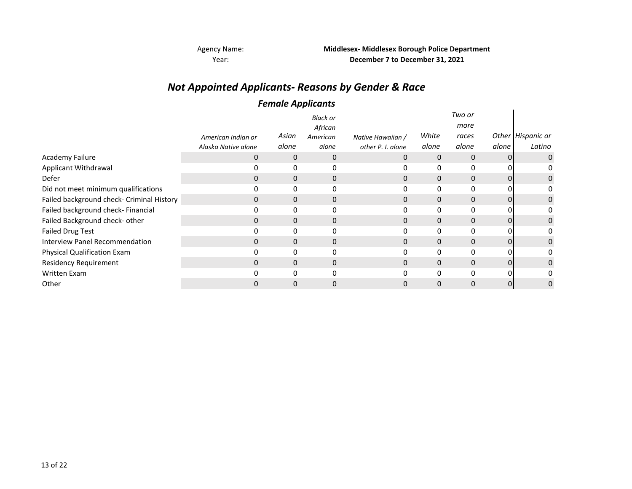Year:

Agency Name: **Middlesex- Middlesex Borough Police Department December 7 to December 31, 2021**

## *Not Appointed Applicants- Reasons by Gender & Race*

## *Female Applicants*

|                                           |                                           | . .   |                   |                                        |          |               |          |                   |
|-------------------------------------------|-------------------------------------------|-------|-------------------|----------------------------------------|----------|---------------|----------|-------------------|
|                                           |                                           |       | <b>Black or</b>   |                                        |          | Two or        |          |                   |
|                                           |                                           | Asian | African           |                                        | White    | more<br>races |          | Other Hispanic or |
|                                           | American Indian or<br>Alaska Native alone | alone | American<br>alone | Native Hawaiian /<br>other P. I. alone | alone    | alone         | alone    | Latino            |
| <b>Academy Failure</b>                    | $\Omega$                                  | 0     | 0                 | 0                                      | $\Omega$ | $\Omega$      | $\Omega$ |                   |
| Applicant Withdrawal                      |                                           |       | 0                 | 0                                      | 0        | 0             |          |                   |
| Defer                                     | $\Omega$                                  | 0     | $\mathbf 0$       | 0                                      | $\Omega$ | $\mathbf 0$   |          | 0                 |
| Did not meet minimum qualifications       |                                           |       | 0                 |                                        |          | 0             |          |                   |
| Failed background check- Criminal History | 0                                         | 0     | 0                 | $\mathbf{0}$                           | 0        | $\mathbf{0}$  | 0        | 0                 |
| Failed background check- Financial        | 0                                         | 0     | 0                 | 0                                      | $\Omega$ | $\mathbf{0}$  |          |                   |
| Failed Background check- other            | $\Omega$                                  | 0     | 0                 | $\Omega$                               | 0        | $\mathbf 0$   | 0        | 0                 |
| <b>Failed Drug Test</b>                   |                                           | 0     | 0                 | 0                                      | 0        | $\mathbf{0}$  |          |                   |
| Interview Panel Recommendation            | $\Omega$                                  | 0     | $\mathbf 0$       | 0                                      | $\Omega$ | $\mathbf 0$   |          |                   |
| <b>Physical Qualification Exam</b>        |                                           | 0     | 0                 |                                        | 0        | 0             |          |                   |
| <b>Residency Requirement</b>              | 0                                         | 0     | 0                 | 0                                      | $\Omega$ | $\mathbf 0$   | 0        |                   |
| <b>Written Exam</b>                       | <sup>0</sup>                              | 0     | 0                 | U.                                     | O        | 0             | ŋ        |                   |
| Other                                     |                                           | 0     | $\mathbf 0$       |                                        |          | $\Omega$      | 0        | 0                 |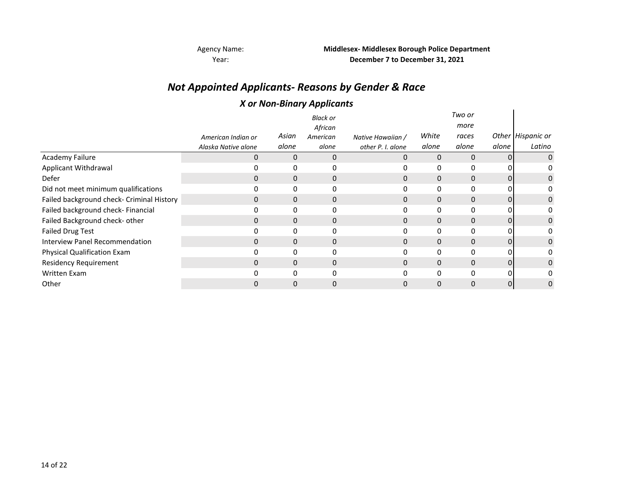## *Not Appointed Applicants- Reasons by Gender & Race*

## *X or Non-Binary Applicants*

|                                           |                     |              | ,<br>. .            |                   |              |                |       |                   |
|-------------------------------------------|---------------------|--------------|---------------------|-------------------|--------------|----------------|-------|-------------------|
|                                           |                     |              | <b>Black or</b>     |                   |              | Two or<br>more |       |                   |
|                                           | American Indian or  | Asian        | African<br>American | Native Hawaiian / | White        | races          |       | Other Hispanic or |
|                                           | Alaska Native alone | alone        | alone               | other P. I. alone | alone        | alone          | alone | Latino            |
| <b>Academy Failure</b>                    | 0                   | 0            | $\mathbf{0}$        | 0                 | $\mathbf{0}$ | $\mathbf{0}$   | 0     | 0                 |
| Applicant Withdrawal                      |                     | 0            | 0                   |                   | 0            | 0              |       | 0                 |
| Defer                                     | 0                   | $\Omega$     | $\mathbf 0$         |                   | 0            | $\Omega$       |       | 0                 |
| Did not meet minimum qualifications       |                     | 0            | 0                   |                   |              | 0              |       | 0                 |
| Failed background check- Criminal History | $\Omega$            | $\mathbf{0}$ | 0                   | 0                 | $\mathbf{0}$ | $\mathbf{0}$   | 0     | 0                 |
| Failed background check- Financial        |                     | 0            | 0                   |                   | 0            | 0              |       | o                 |
| Failed Background check- other            | 0                   | 0            | $\mathbf{0}$        | 0                 | $\Omega$     | $\Omega$       | 0     | 0                 |
| <b>Failed Drug Test</b>                   |                     | 0            | 0                   |                   | 0            | $\Omega$       |       | 0                 |
| <b>Interview Panel Recommendation</b>     | 0                   | 0            | 0                   | 0                 | $\Omega$     | $\Omega$       | 0     | 0                 |
| <b>Physical Qualification Exam</b>        |                     | 0            | 0                   |                   |              | 0              |       |                   |
| <b>Residency Requirement</b>              | $\Omega$            | $\mathbf{0}$ | $\mathbf{0}$        | 0                 | $\mathbf{0}$ | $\mathbf{0}$   | 0     | 0                 |
| <b>Written Exam</b>                       |                     | O            | $\Omega$            |                   | <sup>n</sup> | $\Omega$       |       |                   |
| Other                                     |                     | 0            | $\Omega$            |                   |              | $\Omega$       | 0     | 0                 |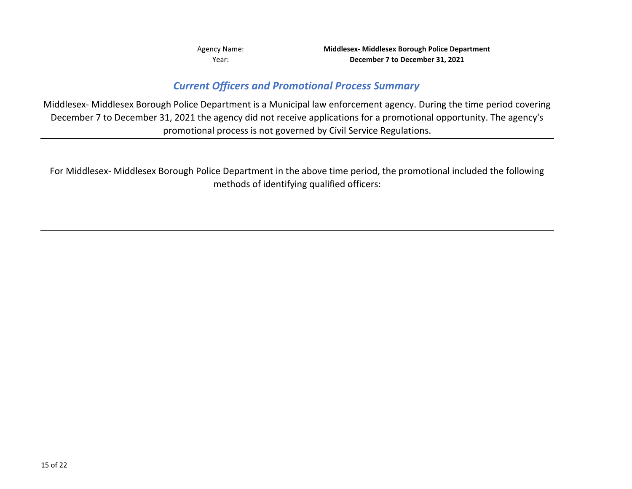## *Current Officers and Promotional Process Summary*

Middlesex- Middlesex Borough Police Department is a Municipal law enforcement agency. During the time period covering December 7 to December 31, 2021 the agency did not receive applications for a promotional opportunity. The agency's promotional process is not governed by Civil Service Regulations.

For Middlesex- Middlesex Borough Police Department in the above time period, the promotional included the following methods of identifying qualified officers: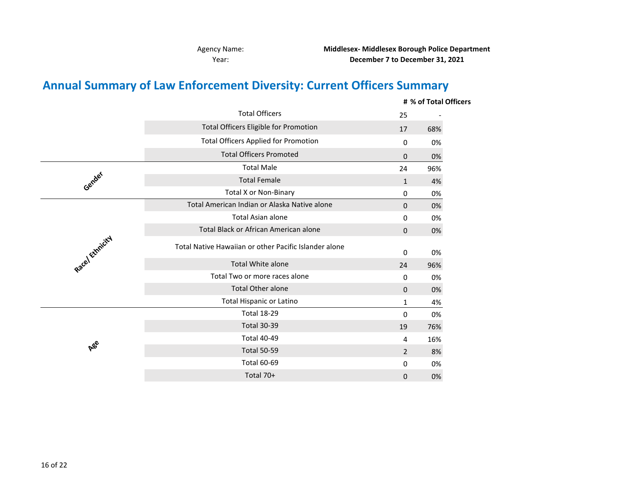Agency Name: Year:

**Middlesex- Middlesex Borough Police Department December 7 to December 31, 2021**

## **Annual Summary of Law Enforcement Diversity: Current Officers Summary**

|                 |                                                       |                | # % of Total Officers |
|-----------------|-------------------------------------------------------|----------------|-----------------------|
|                 | <b>Total Officers</b>                                 | 25             |                       |
|                 | <b>Total Officers Eligible for Promotion</b>          | 17             | 68%                   |
|                 | <b>Total Officers Applied for Promotion</b>           | 0              | 0%                    |
|                 | <b>Total Officers Promoted</b>                        | 0              | 0%                    |
|                 | <b>Total Male</b>                                     | 24             | 96%                   |
| Gender          | <b>Total Female</b>                                   | $\mathbf{1}$   | 4%                    |
|                 | <b>Total X or Non-Binary</b>                          | 0              | 0%                    |
|                 | Total American Indian or Alaska Native alone          | 0              | 0%                    |
|                 | <b>Total Asian alone</b>                              | 0              | 0%                    |
|                 | Total Black or African American alone                 | 0              | 0%                    |
| Racel Ethnicity | Total Native Hawaiian or other Pacific Islander alone | 0              | 0%                    |
|                 | Total White alone                                     | 24             | 96%                   |
|                 | Total Two or more races alone                         | 0              | 0%                    |
|                 | <b>Total Other alone</b>                              | 0              | 0%                    |
|                 | Total Hispanic or Latino                              | $\mathbf{1}$   | 4%                    |
|                 | <b>Total 18-29</b>                                    | 0              | 0%                    |
|                 | <b>Total 30-39</b>                                    | 19             | 76%                   |
|                 | <b>Total 40-49</b>                                    | 4              | 16%                   |
|                 |                                                       |                |                       |
| <b>A</b> ee     | <b>Total 50-59</b>                                    | $\overline{2}$ | 8%                    |
|                 | <b>Total 60-69</b>                                    | 0              | 0%                    |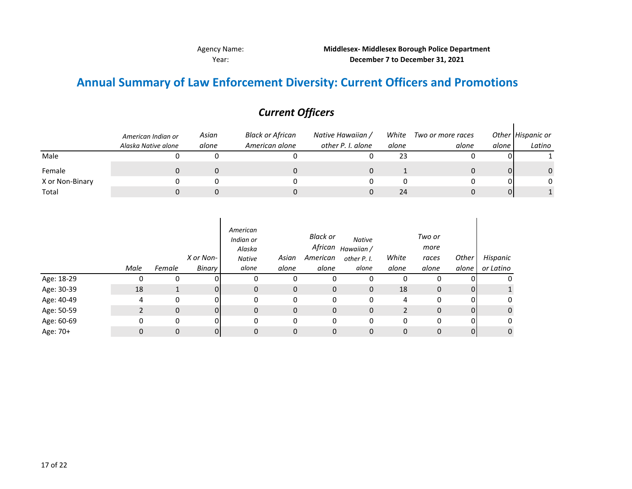Year: **December 7 to December 31, 2021** Agency Name: **Middlesex- Middlesex Borough Police Department**

## **Annual Summary of Law Enforcement Diversity: Current Officers and Promotions**

|                 | American Indian or<br>Alaska Native alone | Asian<br>alone | Black or African<br>American alone | Native Hawaiian /<br>other P. I. alone | White<br>alone | Two or more races<br>alone | alone | Other Hispanic or<br>Latino |
|-----------------|-------------------------------------------|----------------|------------------------------------|----------------------------------------|----------------|----------------------------|-------|-----------------------------|
| Male            |                                           |                |                                    |                                        | 23             |                            |       |                             |
| Female          |                                           |                |                                    |                                        |                |                            |       |                             |
| X or Non-Binary |                                           |                |                                    |                                        |                |                            |       |                             |
| Total           |                                           |                |                                    |                                        | 24             |                            |       |                             |

## *Current Officers*

|            | Male | Female | X or Non-<br>Binary | American<br>Indian or<br>Alaska<br>Native<br>alone | Asian<br>alone | <b>Black or</b><br>African<br>American<br>alone | <b>Native</b><br>Hawaiian /<br>other P. I.<br>alone | White<br>alone | Two or<br>more<br>races<br>alone | Other<br>alone | Hispanic<br>or Latino |
|------------|------|--------|---------------------|----------------------------------------------------|----------------|-------------------------------------------------|-----------------------------------------------------|----------------|----------------------------------|----------------|-----------------------|
| Age: 18-29 |      | 0      |                     | 0                                                  | 0              | 0                                               | 0                                                   | 0              | 0                                |                | 0                     |
| Age: 30-39 | 18   |        | 0                   | 0                                                  | $\mathbf{0}$   | $\mathbf 0$                                     | 0                                                   | 18             | 0                                | 0              |                       |
| Age: 40-49 | 4    | 0      | n.                  | 0                                                  | 0              | 0                                               | 0                                                   | 4              | 0                                | 0              | 0                     |
| Age: 50-59 |      | 0      | 0                   | 0                                                  | 0              | $\mathbf 0$                                     | 0                                                   | 2              | 0                                | $\Omega$       | 0                     |
| Age: 60-69 | 0    | 0      | 0                   | 0                                                  | 0              | 0                                               | 0                                                   | 0              | 0                                | $\Omega$       | 0                     |
| Age: 70+   | 0    | 0      | 0                   | 0                                                  | 0              | 0                                               | 0                                                   | 0              | 0                                |                | 0                     |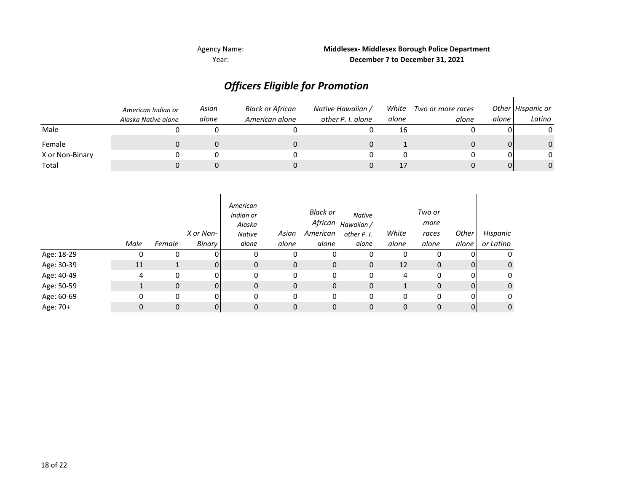## *Officers Eligible for Promotion*

|                 | American Indian or<br>Alaska Native alone | Asian<br>alone | Black or African<br>American alone | Native Hawaiian /<br>other P. I. alone | White<br>alone | Two or more races<br>alone | alone l | Other Hispanic or<br>Latino |
|-----------------|-------------------------------------------|----------------|------------------------------------|----------------------------------------|----------------|----------------------------|---------|-----------------------------|
| Male            |                                           |                |                                    |                                        | 16             |                            |         |                             |
| Female          |                                           |                |                                    |                                        |                |                            |         |                             |
| X or Non-Binary |                                           |                |                                    |                                        |                |                            |         |                             |
| Total           |                                           |                |                                    |                                        |                |                            |         |                             |

|            | Male | Female | X or Non-<br>Binary | American<br>Indian or<br>Alaska<br><b>Native</b><br>alone | Asian<br>alone | Black or<br>African<br>American<br>alone | <b>Native</b><br>Hawaiian /<br>other P. I.<br>alone | White<br>alone | Two or<br>more<br>races<br>alone | Other<br>alone | Hispanic<br>or Latino |
|------------|------|--------|---------------------|-----------------------------------------------------------|----------------|------------------------------------------|-----------------------------------------------------|----------------|----------------------------------|----------------|-----------------------|
| Age: 18-29 | 0    | 0      |                     | 0                                                         | 0              | 0                                        | 0                                                   | 0              | 0                                |                | 0                     |
| Age: 30-39 | 11   |        | 0                   | $\mathbf{0}$                                              | $\mathbf{0}$   | 0                                        | $\mathbf 0$                                         | 12             | 0                                | 0              | $\mathsf 0$           |
| Age: 40-49 | 4    | 0      |                     | 0                                                         | 0              | 0                                        | 0                                                   | 4              | 0                                |                | 0                     |
| Age: 50-59 |      | 0      | ΩI                  | 0                                                         | $\mathbf 0$    | 0                                        | 0                                                   |                | 0                                | $\Omega$       | $\mathbf 0$           |
| Age: 60-69 | 0    | 0      |                     | 0                                                         | $\mathbf 0$    | 0                                        | 0                                                   | 0              | 0                                |                | 0                     |
| Age: 70+   | 0    | 0      |                     | 0                                                         | 0              | $\mathbf 0$                              | 0                                                   | 0              | 0                                |                | $\mathbf 0$           |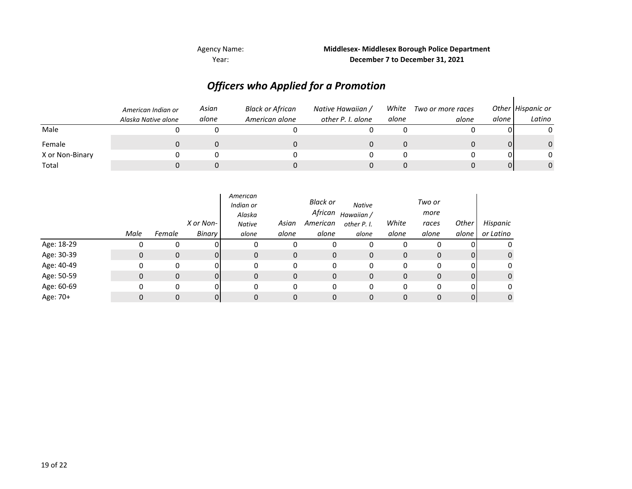Year: **December 7 to December 31, 2021** Agency Name: **Middlesex- Middlesex Borough Police Department**

## *Officers who Applied for a Promotion*

|                 | American Indian or<br>Alaska Native alone | Asian<br>alone | <b>Black or African</b><br>American alone | Native Hawaiian /<br>other P. I. alone | White<br>alone | Two or more races<br>alone | alone | Other Hispanic or<br>Latino |
|-----------------|-------------------------------------------|----------------|-------------------------------------------|----------------------------------------|----------------|----------------------------|-------|-----------------------------|
| Male            |                                           |                |                                           |                                        |                |                            |       |                             |
| Female          |                                           |                |                                           |                                        |                |                            |       | 0                           |
| X or Non-Binary |                                           |                |                                           |                                        |                |                            |       | <sup>n</sup>                |
| Total           |                                           |                |                                           |                                        |                |                            |       | 0                           |

|            |      |              | X or Non- | American<br>Indian or<br>Alaska<br><b>Native</b> | Asian | Black or<br>African<br>American | <b>Native</b><br>Hawaiian /<br>other P. I. | White | Two or<br>more<br>races | Other | Hispanic     |
|------------|------|--------------|-----------|--------------------------------------------------|-------|---------------------------------|--------------------------------------------|-------|-------------------------|-------|--------------|
|            | Male | Female       | Binary    | alone                                            | alone | alone                           | alone                                      | alone | alone                   | alone | or Latino    |
| Age: 18-29 |      | 0            |           |                                                  | 0     | 0                               | 0                                          |       | 0                       |       | 0            |
| Age: 30-39 | 0    | 0            | ΩI        | 0                                                | 0     | 0                               | 0                                          | 0     | $\mathbf{0}$            | 0     | $\mathbf{0}$ |
| Age: 40-49 | 0    | $\mathbf{0}$ | nι        | 0                                                | 0     | 0                               | 0                                          | 0     | 0                       | 0     | 0            |
| Age: 50-59 | 0    | 0            | ΩI        | 0                                                | 0     | 0                               | 0                                          | 0     | $\mathbf{0}$            | 0     | $\mathbf{0}$ |
| Age: 60-69 | 0    | 0            | nι        | 0                                                | 0     | 0                               | 0                                          | 0     | 0                       | 0     | 0            |
| Age: 70+   |      | 0            | 01        |                                                  | 0     | 0                               | 0                                          | 0     | 0                       | 0     | $\mathbf{0}$ |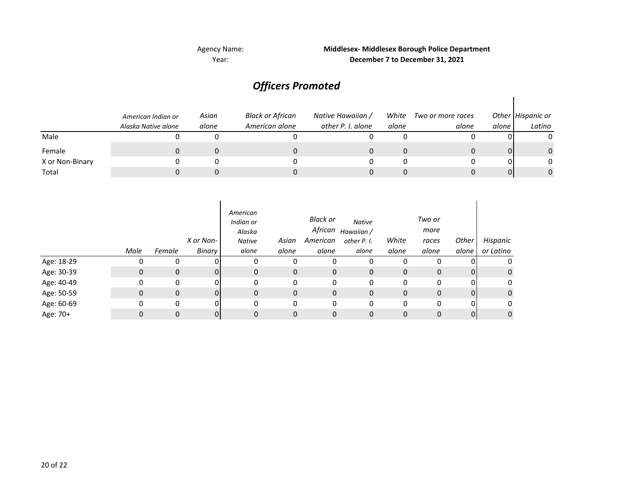## Agency Name:

## Year: **December 7 to December 31, 2021 Middlesex- Middlesex Borough Police Department**

## *Officers Promoted*

|                 | American Indian or<br>Alaska Native alone | Asian<br>alone | <b>Black or African</b><br>American alone | Native Hawaiian /<br>other P. I. alone | White<br>alone | Two or more races<br>alone | alone | Other Hispanic or<br>Latino |
|-----------------|-------------------------------------------|----------------|-------------------------------------------|----------------------------------------|----------------|----------------------------|-------|-----------------------------|
| Male            |                                           |                |                                           |                                        |                |                            |       |                             |
| Female          |                                           |                |                                           |                                        |                |                            |       |                             |
| X or Non-Binary |                                           |                |                                           |                                        |                |                            |       | 0                           |
| Total           |                                           |                |                                           |                                        |                |                            |       |                             |

|            | Male | Female       | X or Non-<br>Binary | American<br>Indian or<br>Alaska<br><b>Native</b><br>alone | Asian<br>alone | Black or<br>African<br>American<br>alone | <b>Native</b><br>Hawaiian /<br>other P. I.<br>alone | White<br>alone | Two or<br>more<br>races<br>alone | Other<br>alone | Hispanic<br>or Latino |
|------------|------|--------------|---------------------|-----------------------------------------------------------|----------------|------------------------------------------|-----------------------------------------------------|----------------|----------------------------------|----------------|-----------------------|
| Age: 18-29 |      | 0            |                     | 0                                                         | 0              | 0                                        | 0                                                   | 0              | $\Omega$                         |                | 0                     |
| Age: 30-39 | 0    | $\mathbf{0}$ |                     | $\mathbf{0}$                                              | $\mathbf{0}$   | $\mathbf 0$                              | 0                                                   | $\mathbf 0$    | $\mathbf{0}$                     | 0              | 0                     |
| Age: 40-49 | 0    | 0            | ΩI                  | 0                                                         | 0              | 0                                        | 0                                                   | 0              | 0                                | 0              | 0                     |
| Age: 50-59 | 0    | $\mathbf{0}$ |                     | $\mathbf{0}$                                              | $\mathbf{0}$   | 0                                        | 0                                                   | $\mathbf 0$    | $\mathbf{0}$                     | 0              | $\mathbf 0$           |
| Age: 60-69 | 0    | 0            |                     | 0                                                         | 0              | 0                                        | 0                                                   | 0              | 0                                | 0              | 0                     |
| Age: 70+   | 0    | 0            |                     | 0                                                         | 0              | 0                                        | 0                                                   | 0              | $\mathbf 0$                      | 0              | 0                     |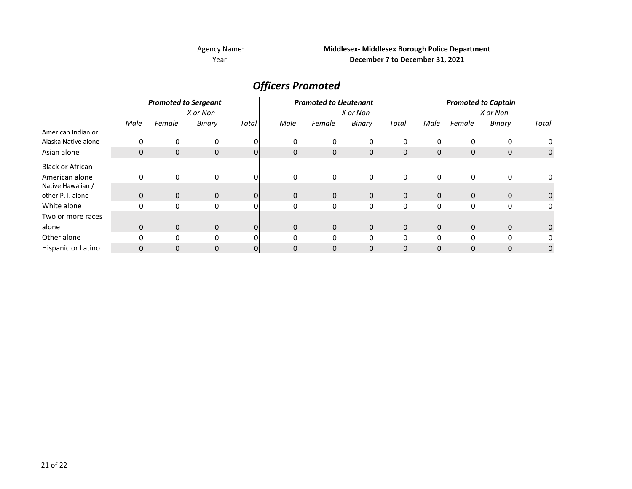## Agency Name: Year:

## **Middlesex- Middlesex Borough Police Department December 7 to December 31, 2021**

*Officers Promoted*

|                         | <b>Promoted to Sergeant</b><br>X or Non- |        |              |                | <b>Promoted to Lieutenant</b><br>X or Non- |              |        |          | <b>Promoted to Captain</b><br>X or Non- |              |               |                |
|-------------------------|------------------------------------------|--------|--------------|----------------|--------------------------------------------|--------------|--------|----------|-----------------------------------------|--------------|---------------|----------------|
|                         |                                          |        |              |                |                                            |              |        |          |                                         |              |               |                |
|                         | Male                                     | Female | Binary       | Total          | Male                                       | Female       | Binary | Total    | Male                                    | Female       | <b>Binary</b> | Total          |
| American Indian or      |                                          |        |              |                |                                            |              |        |          |                                         |              |               |                |
| Alaska Native alone     | 0                                        |        | 0            | 0              | 0                                          | 0            | 0      |          | 0                                       | 0            | 0             |                |
| Asian alone             | 0                                        | 0      | $\mathbf 0$  | 01             | $\mathbf{0}$                               | 0            | 0      | $\Omega$ | $\mathbf{0}$                            | $\mathbf 0$  | 0             | $\overline{0}$ |
| <b>Black or African</b> |                                          |        |              |                |                                            |              |        |          |                                         |              |               |                |
| American alone          | 0                                        | 0      | 0            | 01             | 0                                          | 0            | 0      | 0        | 0                                       | 0            | 0             | 0              |
| Native Hawaiian /       |                                          |        |              |                |                                            |              |        |          |                                         |              |               |                |
| other P. I. alone       | 0                                        | 0      | $\mathbf{0}$ | Οl             | $\mathbf{0}$                               | $\mathbf 0$  | 0      | 0        | $\mathbf{0}$                            | $\mathbf 0$  | $\mathbf 0$   | 0              |
| White alone             | 0                                        | 0      | 0            | ΩI             | 0                                          | 0            | 0      | 0        | 0                                       | $\mathbf{0}$ | 0             | 01             |
| Two or more races       |                                          |        |              |                |                                            |              |        |          |                                         |              |               |                |
| alone                   | $\mathbf 0$                              | 0      | $\mathbf{0}$ | $\overline{0}$ | $\mathbf{0}$                               | $\mathbf{0}$ | 0      | 0        | $\mathbf{0}$                            | $\mathbf 0$  | $\mathbf 0$   | 0              |
| Other alone             | 0                                        | 0      | 0            |                | 0                                          | 0            | 0      |          | 0                                       | 0            | 0             |                |
| Hispanic or Latino      | $\mathbf 0$                              | 0      | $\Omega$     | $\overline{0}$ | 0                                          | $\mathbf 0$  | 0      | 0        | 0                                       | $\Omega$     | 0             | 0              |